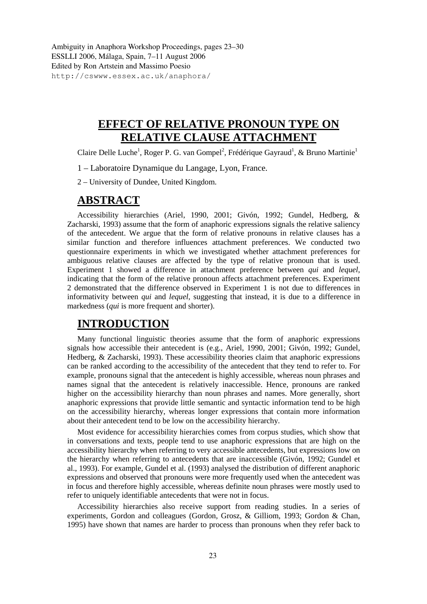Ambiguity in Anaphora Workshop Proceedings, pages 23–30 ESSLLI 2006, Málaga, Spain, 7–11 August 2006 Edited by Ron Artstein and Massimo Poesio http://cswww.essex.ac.uk/anaphora/

# **EFFECT OF RELATIVE PRONOUN TYPE ON RELATIVE CLAUSE ATTACHMENT**

Claire Delle Luche<sup>1</sup>, Roger P. G. van Gompel<sup>2</sup>, Frédérique Gayraud<sup>1</sup>, & Bruno Martinie<sup>1</sup>

- 1 Laboratoire Dynamique du Langage, Lyon, France.
- 2 University of Dundee, United Kingdom.

### **ABSTRACT**

Accessibility hierarchies (Ariel, 1990, 2001; Givón, 1992; Gundel, Hedberg, & Zacharski, 1993) assume that the form of anaphoric expressions signals the relative saliency of the antecedent. We argue that the form of relative pronouns in relative clauses has a similar function and therefore influences attachment preferences. We conducted two questionnaire experiments in which we investigated whether attachment preferences for ambiguous relative clauses are affected by the type of relative pronoun that is used. Experiment 1 showed a difference in attachment preference between *qui* and *lequel*, indicating that the form of the relative pronoun affects attachment preferences. Experiment 2 demonstrated that the difference observed in Experiment 1 is not due to differences in informativity between *qui* and *lequel*, suggesting that instead, it is due to a difference in markedness (*qui* is more frequent and shorter).

## **INTRODUCTION**

Many functional linguistic theories assume that the form of anaphoric expressions signals how accessible their antecedent is (e.g., Ariel, 1990, 2001; Givón, 1992; Gundel, Hedberg, & Zacharski, 1993). These accessibility theories claim that anaphoric expressions can be ranked according to the accessibility of the antecedent that they tend to refer to. For example, pronouns signal that the antecedent is highly accessible, whereas noun phrases and names signal that the antecedent is relatively inaccessible. Hence, pronouns are ranked higher on the accessibility hierarchy than noun phrases and names. More generally, short anaphoric expressions that provide little semantic and syntactic information tend to be high on the accessibility hierarchy, whereas longer expressions that contain more information about their antecedent tend to be low on the accessibility hierarchy.

Most evidence for accessibility hierarchies comes from corpus studies, which show that in conversations and texts, people tend to use anaphoric expressions that are high on the accessibility hierarchy when referring to very accessible antecedents, but expressions low on the hierarchy when referring to antecedents that are inaccessible (Givón, 1992; Gundel et al., 1993). For example, Gundel et al. (1993) analysed the distribution of different anaphoric expressions and observed that pronouns were more frequently used when the antecedent was in focus and therefore highly accessible, whereas definite noun phrases were mostly used to refer to uniquely identifiable antecedents that were not in focus.

Accessibility hierarchies also receive support from reading studies. In a series of experiments, Gordon and colleagues (Gordon, Grosz, & Gilliom, 1993; Gordon & Chan, 1995) have shown that names are harder to process than pronouns when they refer back to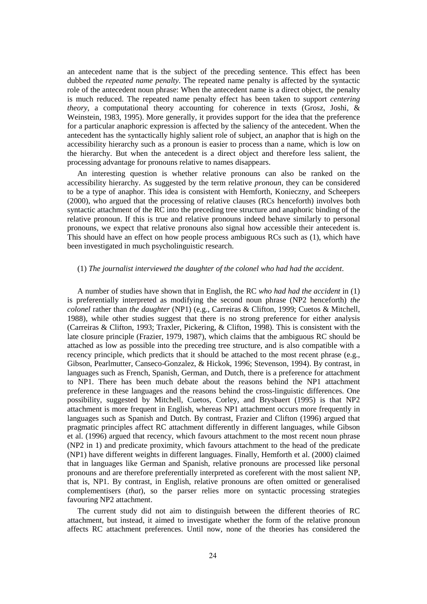an antecedent name that is the subject of the preceding sentence. This effect has been dubbed the *repeated name penalty*. The repeated name penalty is affected by the syntactic role of the antecedent noun phrase: When the antecedent name is a direct object, the penalty is much reduced. The repeated name penalty effect has been taken to support *centering theory*, a computational theory accounting for coherence in texts (Grosz, Joshi, & Weinstein, 1983, 1995). More generally, it provides support for the idea that the preference for a particular anaphoric expression is affected by the saliency of the antecedent. When the antecedent has the syntactically highly salient role of subject, an anaphor that is high on the accessibility hierarchy such as a pronoun is easier to process than a name, which is low on the hierarchy. But when the antecedent is a direct object and therefore less salient, the processing advantage for pronouns relative to names disappears.

An interesting question is whether relative pronouns can also be ranked on the accessibility hierarchy. As suggested by the term relative *pronoun*, they can be considered to be a type of anaphor. This idea is consistent with Hemforth, Konieczny, and Scheepers (2000), who argued that the processing of relative clauses (RCs henceforth) involves both syntactic attachment of the RC into the preceding tree structure and anaphoric binding of the relative pronoun. If this is true and relative pronouns indeed behave similarly to personal pronouns, we expect that relative pronouns also signal how accessible their antecedent is. This should have an effect on how people process ambiguous RCs such as (1), which have been investigated in much psycholinguistic research.

#### (1) *The journalist interviewed the daughter of the colonel who had had the accident*.

A number of studies have shown that in English, the RC *who had had the accident* in (1) is preferentially interpreted as modifying the second noun phrase (NP2 henceforth) *the colonel* rather than *the daughter* (NP1) (e.g., Carreiras & Clifton, 1999; Cuetos & Mitchell, 1988), while other studies suggest that there is no strong preference for either analysis (Carreiras & Clifton, 1993; Traxler, Pickering, & Clifton, 1998). This is consistent with the late closure principle (Frazier, 1979, 1987), which claims that the ambiguous RC should be attached as low as possible into the preceding tree structure, and is also compatible with a recency principle, which predicts that it should be attached to the most recent phrase (e.g., Gibson, Pearlmutter, Canseco-Gonzalez, & Hickok, 1996; Stevenson, 1994). By contrast, in languages such as French, Spanish, German, and Dutch, there is a preference for attachment to NP1. There has been much debate about the reasons behind the NP1 attachment preference in these languages and the reasons behind the cross-linguistic differences. One possibility, suggested by Mitchell, Cuetos, Corley, and Brysbaert (1995) is that NP2 attachment is more frequent in English, whereas NP1 attachment occurs more frequently in languages such as Spanish and Dutch. By contrast, Frazier and Clifton (1996) argued that pragmatic principles affect RC attachment differently in different languages, while Gibson et al. (1996) argued that recency, which favours attachment to the most recent noun phrase (NP2 in 1) and predicate proximity, which favours attachment to the head of the predicate (NP1) have different weights in different languages. Finally, Hemforth et al. (2000) claimed that in languages like German and Spanish, relative pronouns are processed like personal pronouns and are therefore preferentially interpreted as coreferent with the most salient NP, that is, NP1. By contrast, in English, relative pronouns are often omitted or generalised complementisers (*that*), so the parser relies more on syntactic processing strategies favouring NP2 attachment.

The current study did not aim to distinguish between the different theories of RC attachment, but instead, it aimed to investigate whether the form of the relative pronoun affects RC attachment preferences. Until now, none of the theories has considered the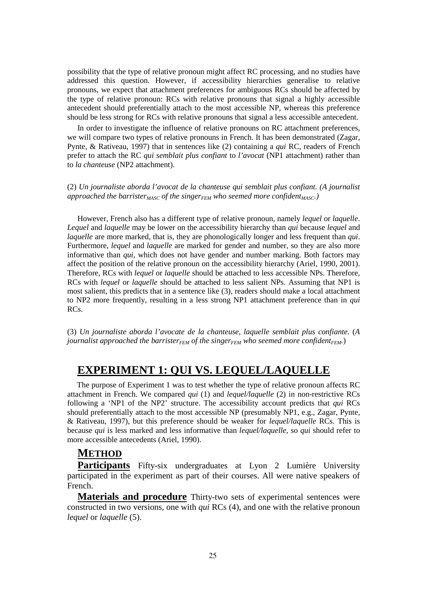possibility that the type of relative pronoun might affect RC processing, and no studies have addressed this question. However, if accessibility hierarchies generalise to relative pronouns, we expect that attachment preferences for ambiguous RCs should be affected by the type of relative pronoun: RCs with relative pronouns that signal a highly accessible antecedent should preferentially attach to the most accessible NP, whereas this preference should be less strong for RCs with relative pronouns that signal a less accessible antecedent.

In order to investigate the influence of relative pronouns on RC attachment preferences, we will compare two types of relative pronouns in French. It has been demonstrated (Zagar, Pynte, & Rativeau, 1997) that in sentences like (2) containing a *qui* RC, readers of French prefer to attach the RC *qui semblait plus confiant* to *l'avocat* (NP1 attachment) rather than to *la chanteuse* (NP2 attachment).

(2) *Un journaliste aborda l'avocat de la chanteuse qui semblait plus confiant. (A journalist approached the barrister<sub>MASC</sub> of the singer*<sub>*FEM</sub>* who seemed more confident<sub>*MASC*</sub>.)</sub>

However, French also has a different type of relative pronoun, namely *lequel* or *laquelle*. *Lequel* and *laquelle* may be lower on the accessibility hierarchy than *qui* because *lequel* and *laquelle* are more marked, that is, they are phonologically longer and less frequent than *qui*. Furthermore, *lequel* and *laquelle* are marked for gender and number, so they are also more informative than *qui*, which does not have gender and number marking. Both factors may affect the position of the relative pronoun on the accessibility hierarchy (Ariel, 1990, 2001). Therefore, RCs with *lequel* or *laquelle* should be attached to less accessible NPs. Therefore, RCs with *lequel* or *laquelle* should be attached to less salient NPs. Assuming that NP1 is most salient, this predicts that in a sentence like (3), readers should make a local attachment to NP2 more frequently, resulting in a less strong NP1 attachment preference than in *qui*  RCs.

(3) *Un journaliste aborda l'avocate de la chanteuse, laquelle semblait plus confiante.* (*A journalist approached the barristerFEM of the singerFEM who seemed more confidentFEM.*)

### **EXPERIMENT 1: QUI VS. LEQUEL/LAQUELLE**

The purpose of Experiment 1 was to test whether the type of relative pronoun affects RC attachment in French. We compared *qui* (1) and *lequel/laquelle* (2) in non-restrictive RCs following a 'NP1 of the NP2' structure. The accessibility account predicts that *qui* RCs should preferentially attach to the most accessible NP (presumably NP1, e.g., Zagar, Pynte, & Rativeau, 1997), but this preference should be weaker for *lequel/laquelle* RCs. This is because *qui* is less marked and less informative than *lequel/laquelle*, so *qui* should refer to more accessible antecedents (Ariel, 1990).

### **METHOD**

Participants Fifty-six undergraduates at Lyon 2 Lumière University participated in the experiment as part of their courses. All were native speakers of French.

**Materials and procedure** Thirty-two sets of experimental sentences were constructed in two versions, one with *qui* RCs (4), and one with the relative pronoun *lequel* or *laquelle* (5).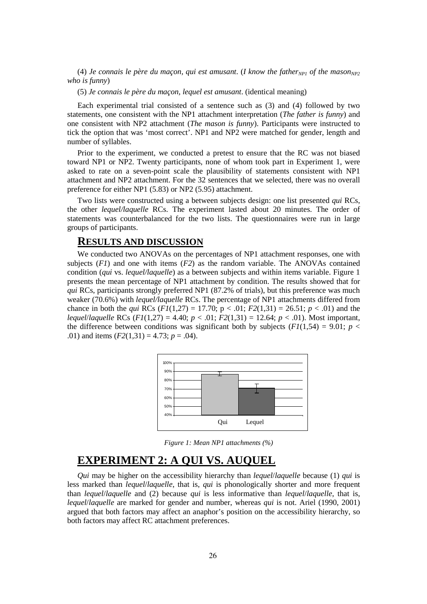(4) *Je connais le père du maçon, qui est amusant. (I know the father*<sub>*NP1</sub></sub> of the mason*<sub>*NP2</sub>*</sub></sub> *who is funny*)

(5) *Je connais le père du maçon, lequel est amusant*. (identical meaning)

Each experimental trial consisted of a sentence such as (3) and (4) followed by two statements, one consistent with the NP1 attachment interpretation (*The father is funny*) and one consistent with NP2 attachment (*The mason is funny*). Participants were instructed to tick the option that was 'most correct'. NP1 and NP2 were matched for gender, length and number of syllables.

Prior to the experiment, we conducted a pretest to ensure that the RC was not biased toward NP1 or NP2. Twenty participants, none of whom took part in Experiment 1, were asked to rate on a seven-point scale the plausibility of statements consistent with NP1 attachment and NP2 attachment. For the 32 sentences that we selected, there was no overall preference for either NP1 (5.83) or NP2 (5.95) attachment.

Two lists were constructed using a between subjects design: one list presented *qui* RCs, the other *lequel/laquelle* RCs. The experiment lasted about 20 minutes. The order of statements was counterbalanced for the two lists. The questionnaires were run in large groups of participants.

#### **RESULTS AND DISCUSSION**

We conducted two ANOVAs on the percentages of NP1 attachment responses, one with subjects  $(F1)$  and one with items  $(F2)$  as the random variable. The ANOVAs contained condition (*qui* vs. *lequel/laquelle*) as a between subjects and within items variable. Figure 1 presents the mean percentage of NP1 attachment by condition. The results showed that for *qui* RCs, participants strongly preferred NP1 (87.2% of trials), but this preference was much weaker (70.6%) with *lequel/laquelle* RCs. The percentage of NP1 attachments differed from chance in both the *qui* RCs ( $F1(1,27) = 17.70$ ;  $p < .01$ ;  $F2(1,31) = 26.51$ ;  $p < .01$ ) and the *lequel*/*laquelle* RCs (*F1*(1,27) = 4.40; *p* < .01; *F2*(1,31) = 12.64; *p* < .01). Most important, the difference between conditions was significant both by subjects  $(F1(1,54) = 9.01; p <$ .01) and items  $(F2(1,31) = 4.73; p = .04)$ .



*Figure 1: Mean NP1 attachments (%)* 

## **EXPERIMENT 2: A QUI VS. AUQUEL**

*Qui* may be higher on the accessibility hierarchy than *lequel*/*laquelle* because (1) *qui* is less marked than *lequel*/*laquelle*, that is, *qui* is phonologically shorter and more frequent than *lequel*/*laquelle* and (2) because *qui* is less informative than *lequel*/*laquelle*, that is, *lequel*/*laquelle* are marked for gender and number, whereas *qui* is not. Ariel (1990, 2001) argued that both factors may affect an anaphor's position on the accessibility hierarchy, so both factors may affect RC attachment preferences.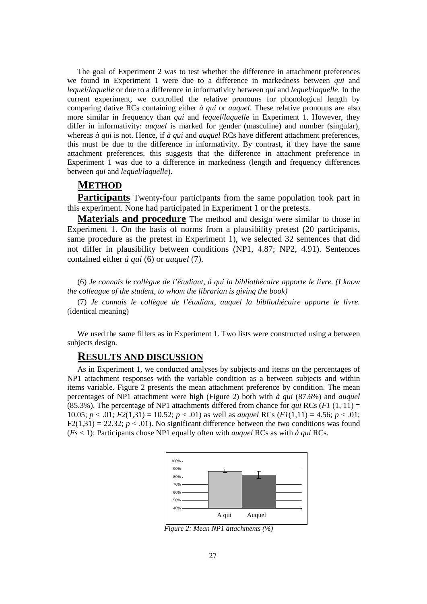The goal of Experiment 2 was to test whether the difference in attachment preferences we found in Experiment 1 were due to a difference in markedness between *qui* and *lequel*/*laquelle* or due to a difference in informativity between *qui* and *lequel*/*laquelle*. In the current experiment, we controlled the relative pronouns for phonological length by comparing dative RCs containing either *à qui* or *auquel*. These relative pronouns are also more similar in frequency than *qui* and *lequel*/*laquelle* in Experiment 1. However, they differ in informativity: *auquel* is marked for gender (masculine) and number (singular), whereas *à qui* is not. Hence, if *à qui* and *auquel* RCs have different attachment preferences, this must be due to the difference in informativity. By contrast, if they have the same attachment preferences, this suggests that the difference in attachment preference in Experiment 1 was due to a difference in markedness (length and frequency differences between *qui* and *lequel*/*laquelle*).

### **METHOD**

**Participants** Twenty-four participants from the same population took part in this experiment. None had participated in Experiment 1 or the pretests.

**Materials and procedure** The method and design were similar to those in Experiment 1. On the basis of norms from a plausibility pretest (20 participants, same procedure as the pretest in Experiment 1), we selected 32 sentences that did not differ in plausibility between conditions (NP1, 4.87; NP2, 4.91). Sentences contained either *à qui* (6) or *auquel* (7).

(6) *Je connais le collègue de l'étudiant, à qui la bibliothécaire apporte le livre. (I know the colleague of the student, to whom the librarian is giving the book)* 

(7) *Je connais le collègue de l'étudiant, auquel la bibliothécaire apporte le livre.* (identical meaning)

We used the same fillers as in Experiment 1. Two lists were constructed using a between subjects design.

#### **RESULTS AND DISCUSSION**

As in Experiment 1, we conducted analyses by subjects and items on the percentages of NP1 attachment responses with the variable condition as a between subjects and within items variable. Figure 2 presents the mean attachment preference by condition. The mean percentages of NP1 attachment were high (Figure 2) both with *à qui* (87.6%) and *auquel* (85.3%). The percentage of NP1 attachments differed from chance for *qui* RCs ( $F1$  (1, 11) = 10.05;  $p < .01$ ;  $F2(1,31) = 10.52$ ;  $p < .01$ ) as well as *auguel* RCs ( $F1(1,11) = 4.56$ ;  $p < .01$ ;  $F2(1,31) = 22.32$ ;  $p < .01$ ). No significant difference between the two conditions was found (*Fs* < 1): Participants chose NP1 equally often with *auquel* RCs as with *à qui* RCs.



*Figure 2: Mean NP1 attachments (%)*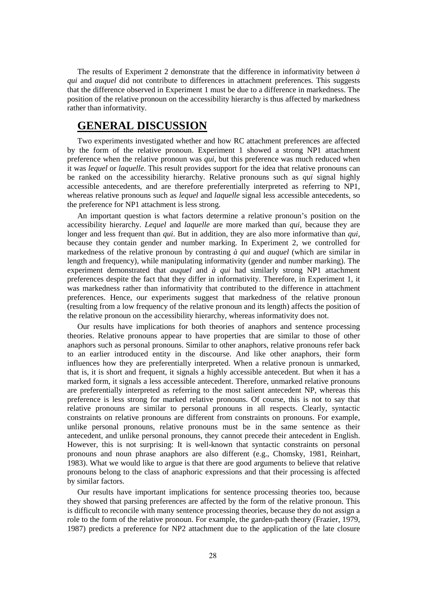The results of Experiment 2 demonstrate that the difference in informativity between *à qui* and *auquel* did not contribute to differences in attachment preferences. This suggests that the difference observed in Experiment 1 must be due to a difference in markedness. The position of the relative pronoun on the accessibility hierarchy is thus affected by markedness rather than informativity.

## **GENERAL DISCUSSION**

Two experiments investigated whether and how RC attachment preferences are affected by the form of the relative pronoun. Experiment 1 showed a strong NP1 attachment preference when the relative pronoun was *qui*, but this preference was much reduced when it was *lequel* or *laquelle*. This result provides support for the idea that relative pronouns can be ranked on the accessibility hierarchy. Relative pronouns such as *qui* signal highly accessible antecedents, and are therefore preferentially interpreted as referring to NP1, whereas relative pronouns such as *lequel* and *laquelle* signal less accessible antecedents, so the preference for NP1 attachment is less strong.

An important question is what factors determine a relative pronoun's position on the accessibility hierarchy. *Lequel* and *laquelle* are more marked than *qui*, because they are longer and less frequent than *qui*. But in addition, they are also more informative than *qui*, because they contain gender and number marking. In Experiment 2, we controlled for markedness of the relative pronoun by contrasting *à qui* and *auquel* (which are similar in length and frequency), while manipulating informativity (gender and number marking). The experiment demonstrated that *auquel* and *à qui* had similarly strong NP1 attachment preferences despite the fact that they differ in informativity. Therefore, in Experiment 1, it was markedness rather than informativity that contributed to the difference in attachment preferences. Hence, our experiments suggest that markedness of the relative pronoun (resulting from a low frequency of the relative pronoun and its length) affects the position of the relative pronoun on the accessibility hierarchy, whereas informativity does not.

Our results have implications for both theories of anaphors and sentence processing theories. Relative pronouns appear to have properties that are similar to those of other anaphors such as personal pronouns. Similar to other anaphors, relative pronouns refer back to an earlier introduced entity in the discourse. And like other anaphors, their form influences how they are preferentially interpreted. When a relative pronoun is unmarked, that is, it is short and frequent, it signals a highly accessible antecedent. But when it has a marked form, it signals a less accessible antecedent. Therefore, unmarked relative pronouns are preferentially interpreted as referring to the most salient antecedent NP, whereas this preference is less strong for marked relative pronouns. Of course, this is not to say that relative pronouns are similar to personal pronouns in all respects. Clearly, syntactic constraints on relative pronouns are different from constraints on pronouns. For example, unlike personal pronouns, relative pronouns must be in the same sentence as their antecedent, and unlike personal pronouns, they cannot precede their antecedent in English. However, this is not surprising: It is well-known that syntactic constraints on personal pronouns and noun phrase anaphors are also different (e.g., Chomsky, 1981, Reinhart, 1983). What we would like to argue is that there are good arguments to believe that relative pronouns belong to the class of anaphoric expressions and that their processing is affected by similar factors.

Our results have important implications for sentence processing theories too, because they showed that parsing preferences are affected by the form of the relative pronoun. This is difficult to reconcile with many sentence processing theories, because they do not assign a role to the form of the relative pronoun. For example, the garden-path theory (Frazier, 1979, 1987) predicts a preference for NP2 attachment due to the application of the late closure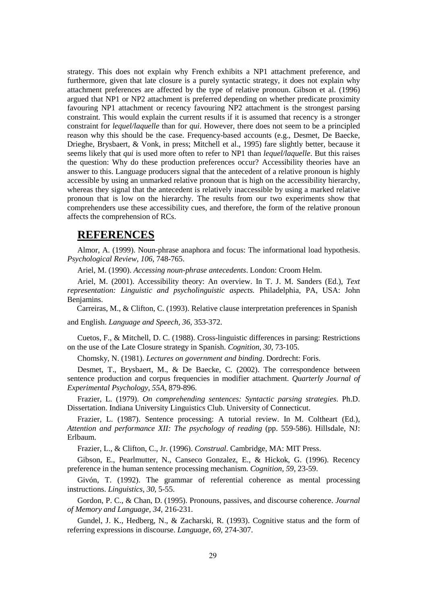strategy. This does not explain why French exhibits a NP1 attachment preference, and furthermore, given that late closure is a purely syntactic strategy, it does not explain why attachment preferences are affected by the type of relative pronoun. Gibson et al. (1996) argued that NP1 or NP2 attachment is preferred depending on whether predicate proximity favouring NP1 attachment or recency favouring NP2 attachment is the strongest parsing constraint. This would explain the current results if it is assumed that recency is a stronger constraint for *lequel/laquelle* than for *qui*. However, there does not seem to be a principled reason why this should be the case. Frequency-based accounts (e.g., Desmet, De Baecke, Drieghe, Brysbaert, & Vonk, in press; Mitchell et al., 1995) fare slightly better, because it seems likely that *qui* is used more often to refer to NP1 than *lequel/laquelle*. But this raises the question: Why do these production preferences occur? Accessibility theories have an answer to this. Language producers signal that the antecedent of a relative pronoun is highly accessible by using an unmarked relative pronoun that is high on the accessibility hierarchy, whereas they signal that the antecedent is relatively inaccessible by using a marked relative pronoun that is low on the hierarchy. The results from our two experiments show that comprehenders use these accessibility cues, and therefore, the form of the relative pronoun affects the comprehension of RCs.

### **REFERENCES**

Almor, A. (1999). Noun-phrase anaphora and focus: The informational load hypothesis. *Psychological Review, 106*, 748-765.

Ariel, M. (1990). *Accessing noun-phrase antecedents*. London: Croom Helm.

Ariel, M. (2001). Accessibility theory: An overview. In T. J. M. Sanders (Ed.), *Text representation: Linguistic and psycholinguistic aspects.* Philadelphia, PA, USA: John Benjamins.

Carreiras, M., & Clifton, C. (1993). Relative clause interpretation preferences in Spanish

and English. *Language and Speech, 36,* 353-372.

Cuetos, F., & Mitchell, D. C. (1988). Cross-linguistic differences in parsing: Restrictions on the use of the Late Closure strategy in Spanish. *Cognition, 30*, 73-105.

Chomsky, N. (1981). *Lectures on government and binding*. Dordrecht: Foris.

Desmet, T., Brysbaert, M., & De Baecke, C. (2002). The correspondence between sentence production and corpus frequencies in modifier attachment. *Quarterly Journal of Experimental Psychology, 55A,* 879-896.

Frazier, L. (1979). *On comprehending sentences: Syntactic parsing strategies*. Ph.D. Dissertation. Indiana University Linguistics Club. University of Connecticut.

Frazier, L. (1987). Sentence processing: A tutorial review. In M. Coltheart (Ed.), *Attention and performance XII: The psychology of reading* (pp. 559-586). Hillsdale, NJ: Erlbaum.

Frazier, L., & Clifton, C., Jr. (1996). *Construal*. Cambridge, MA: MIT Press.

Gibson, E., Pearlmutter, N., Canseco Gonzalez, E., & Hickok, G. (1996). Recency preference in the human sentence processing mechanism. *Cognition, 59,* 23-59.

Givón, T. (1992). The grammar of referential coherence as mental processing instructions. *Linguistics, 30*, 5-55.

Gordon, P. C., & Chan, D. (1995). Pronouns, passives, and discourse coherence. *Journal of Memory and Language*, *34*, 216-231.

Gundel, J. K., Hedberg, N., & Zacharski, R. (1993). Cognitive status and the form of referring expressions in discourse. *Language, 69*, 274-307.